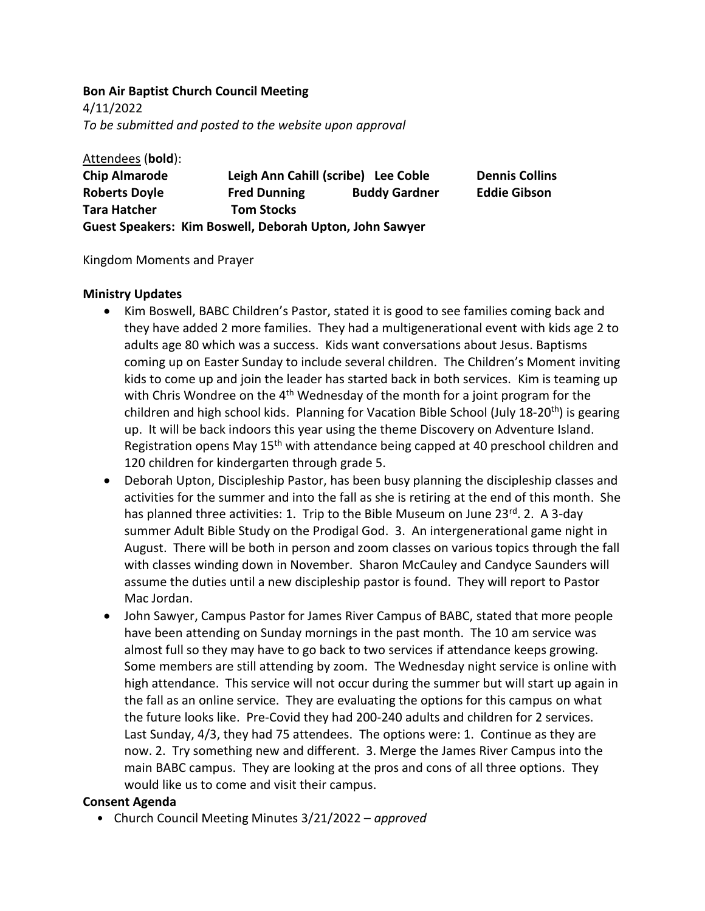#### **Bon Air Baptist Church Council Meeting**

4/11/2022 *To be submitted and posted to the website upon approval*

Attendees (**bold**): **Chip Almarode Leigh Ann Cahill (scribe) Lee Coble Dennis Collins Roberts Doyle Fred Dunning Buddy Gardner Eddie Gibson Tara Hatcher Tom Stocks Guest Speakers: Kim Boswell, Deborah Upton, John Sawyer**

### Kingdom Moments and Prayer

### **Ministry Updates**

- Kim Boswell, BABC Children's Pastor, stated it is good to see families coming back and they have added 2 more families. They had a multigenerational event with kids age 2 to adults age 80 which was a success. Kids want conversations about Jesus. Baptisms coming up on Easter Sunday to include several children. The Children's Moment inviting kids to come up and join the leader has started back in both services. Kim is teaming up with Chris Wondree on the  $4<sup>th</sup>$  Wednesday of the month for a joint program for the children and high school kids. Planning for Vacation Bible School (July 18-20<sup>th</sup>) is gearing up. It will be back indoors this year using the theme Discovery on Adventure Island. Registration opens May 15<sup>th</sup> with attendance being capped at 40 preschool children and 120 children for kindergarten through grade 5.
- Deborah Upton, Discipleship Pastor, has been busy planning the discipleship classes and activities for the summer and into the fall as she is retiring at the end of this month. She has planned three activities: 1. Trip to the Bible Museum on June  $23^{rd}$ . 2. A 3-day summer Adult Bible Study on the Prodigal God. 3. An intergenerational game night in August. There will be both in person and zoom classes on various topics through the fall with classes winding down in November. Sharon McCauley and Candyce Saunders will assume the duties until a new discipleship pastor is found. They will report to Pastor Mac Jordan.
- John Sawyer, Campus Pastor for James River Campus of BABC, stated that more people have been attending on Sunday mornings in the past month. The 10 am service was almost full so they may have to go back to two services if attendance keeps growing. Some members are still attending by zoom. The Wednesday night service is online with high attendance. This service will not occur during the summer but will start up again in the fall as an online service. They are evaluating the options for this campus on what the future looks like. Pre-Covid they had 200-240 adults and children for 2 services. Last Sunday, 4/3, they had 75 attendees. The options were: 1. Continue as they are now. 2. Try something new and different. 3. Merge the James River Campus into the main BABC campus. They are looking at the pros and cons of all three options. They would like us to come and visit their campus.

### **Consent Agenda**

․ Church Council Meeting Minutes 3/21/2022 – *approved*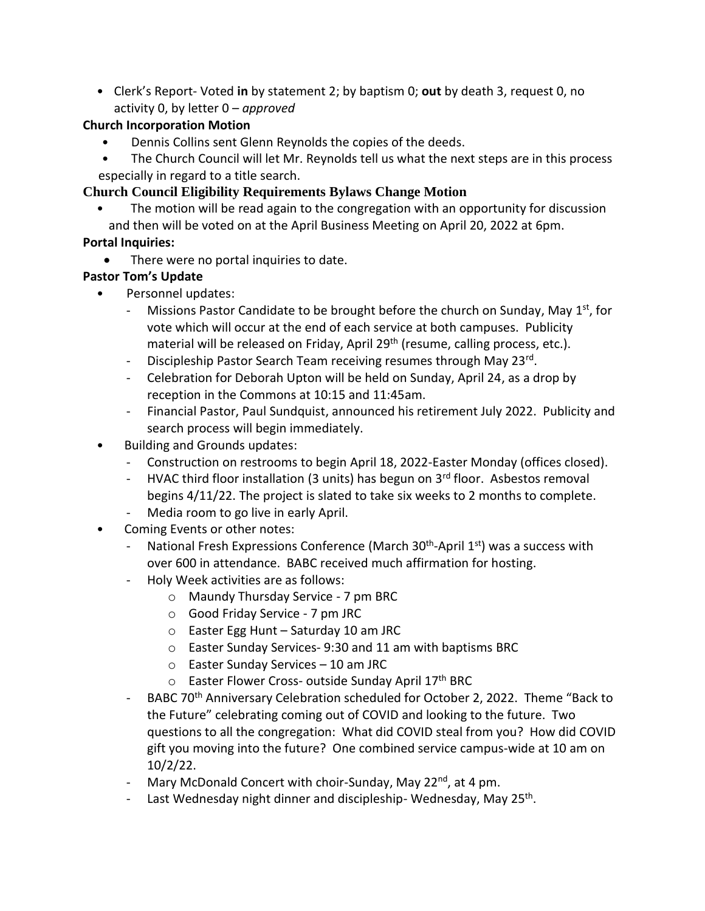․ Clerk's Report- Voted **in** by statement 2; by baptism 0; **out** by death 3, request 0, no activity 0, by letter 0 – *approved*

# **Church Incorporation Motion**

- Dennis Collins sent Glenn Reynolds the copies of the deeds.
- The Church Council will let Mr. Reynolds tell us what the next steps are in this process especially in regard to a title search.

# **Church Council Eligibility Requirements Bylaws Change Motion**

The motion will be read again to the congregation with an opportunity for discussion and then will be voted on at the April Business Meeting on April 20, 2022 at 6pm.

## **Portal Inquiries:**

•There were no portal inquiries to date.

## **Pastor Tom's Update**

- ․ Personnel updates:
	- Missions Pastor Candidate to be brought before the church on Sunday, May 1<sup>st</sup>, for vote which will occur at the end of each service at both campuses. Publicity material will be released on Friday, April 29<sup>th</sup> (resume, calling process, etc.).
	- Discipleship Pastor Search Team receiving resumes through May 23rd.
	- Celebration for Deborah Upton will be held on Sunday, April 24, as a drop by reception in the Commons at 10:15 and 11:45am.
	- Financial Pastor, Paul Sundquist, announced his retirement July 2022. Publicity and search process will begin immediately.
- Building and Grounds updates:
	- Construction on restrooms to begin April 18, 2022-Easter Monday (offices closed).
	- HVAC third floor installation (3 units) has begun on  $3<sup>rd</sup>$  floor. Asbestos removal begins 4/11/22. The project is slated to take six weeks to 2 months to complete. - Media room to go live in early April.
- Coming Events or other notes:
	- National Fresh Expressions Conference (March 30<sup>th</sup>-April 1<sup>st</sup>) was a success with over 600 in attendance. BABC received much affirmation for hosting.
	- Holy Week activities are as follows:
		- o Maundy Thursday Service 7 pm BRC
		- o Good Friday Service 7 pm JRC
		- o Easter Egg Hunt Saturday 10 am JRC
		- o Easter Sunday Services- 9:30 and 11 am with baptisms BRC
		- o Easter Sunday Services 10 am JRC
		- o Easter Flower Cross- outside Sunday April 17th BRC
	- BABC 70<sup>th</sup> Anniversary Celebration scheduled for October 2, 2022. Theme "Back to the Future" celebrating coming out of COVID and looking to the future. Two questions to all the congregation: What did COVID steal from you? How did COVID gift you moving into the future? One combined service campus-wide at 10 am on 10/2/22.
	- Mary McDonald Concert with choir-Sunday, May 22<sup>nd</sup>, at 4 pm.
	- Last Wednesday night dinner and discipleship-Wednesday, May 25<sup>th</sup>.